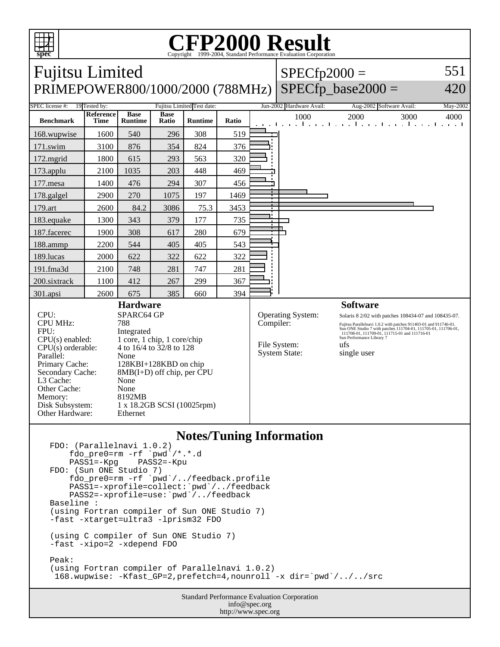

## Copyright ©1999-2004, Standard Performance Evaluation Corporation

| PRIMEPOWER800/1000/2000 (788MHz)  <br><b>SPEC</b> license #:<br>19 Tested by:<br><b>Reference</b><br><b>Benchmark</b><br><b>Time</b><br>168.wupwise<br>1600<br>171.swim<br>3100<br>172.mgrid<br>1800<br>173.applu<br>2100                                                                                                                                                                                                                                             | <b>Base</b><br><b>Runtime</b><br>540<br>876<br>615<br>1035<br>476 | <b>Base</b><br>Ratio<br>296<br>354<br>293<br>203 | Fujitsu Limited Test date:<br><b>Runtime</b><br>308<br>824<br>563 | Ratio<br>519 | and the   | Jun-2002 Hardware Avail:<br>1000                                 | $SPECfp\_base2000 =$<br>Aug-2002 Software Avail:<br>2000<br>3000<br>la contra colorada de co                                                                                                                                                                                                                      | 420<br>May-2002<br>4000 |
|-----------------------------------------------------------------------------------------------------------------------------------------------------------------------------------------------------------------------------------------------------------------------------------------------------------------------------------------------------------------------------------------------------------------------------------------------------------------------|-------------------------------------------------------------------|--------------------------------------------------|-------------------------------------------------------------------|--------------|-----------|------------------------------------------------------------------|-------------------------------------------------------------------------------------------------------------------------------------------------------------------------------------------------------------------------------------------------------------------------------------------------------------------|-------------------------|
|                                                                                                                                                                                                                                                                                                                                                                                                                                                                       |                                                                   |                                                  |                                                                   |              |           |                                                                  |                                                                                                                                                                                                                                                                                                                   |                         |
|                                                                                                                                                                                                                                                                                                                                                                                                                                                                       |                                                                   |                                                  |                                                                   |              |           |                                                                  |                                                                                                                                                                                                                                                                                                                   |                         |
|                                                                                                                                                                                                                                                                                                                                                                                                                                                                       |                                                                   |                                                  |                                                                   |              |           |                                                                  |                                                                                                                                                                                                                                                                                                                   | the contractor of       |
|                                                                                                                                                                                                                                                                                                                                                                                                                                                                       |                                                                   |                                                  |                                                                   |              |           |                                                                  |                                                                                                                                                                                                                                                                                                                   |                         |
|                                                                                                                                                                                                                                                                                                                                                                                                                                                                       |                                                                   |                                                  |                                                                   | 376          |           |                                                                  |                                                                                                                                                                                                                                                                                                                   |                         |
|                                                                                                                                                                                                                                                                                                                                                                                                                                                                       |                                                                   |                                                  |                                                                   | 320          |           |                                                                  |                                                                                                                                                                                                                                                                                                                   |                         |
|                                                                                                                                                                                                                                                                                                                                                                                                                                                                       |                                                                   |                                                  | 448                                                               | 469          |           |                                                                  |                                                                                                                                                                                                                                                                                                                   |                         |
| 177.mesa<br>1400                                                                                                                                                                                                                                                                                                                                                                                                                                                      |                                                                   | 294                                              | 307                                                               | 456          |           |                                                                  |                                                                                                                                                                                                                                                                                                                   |                         |
| 178.galgel<br>2900                                                                                                                                                                                                                                                                                                                                                                                                                                                    | 270                                                               | 1075                                             | 197                                                               | 1469         |           |                                                                  |                                                                                                                                                                                                                                                                                                                   |                         |
| 179.art<br>2600                                                                                                                                                                                                                                                                                                                                                                                                                                                       | 84.2                                                              | 3086                                             | 75.3                                                              | 3453         |           |                                                                  |                                                                                                                                                                                                                                                                                                                   |                         |
| 183.equake<br>1300                                                                                                                                                                                                                                                                                                                                                                                                                                                    | 343                                                               | 379                                              | 177                                                               | 735          |           |                                                                  |                                                                                                                                                                                                                                                                                                                   |                         |
| 187.facerec<br>1900                                                                                                                                                                                                                                                                                                                                                                                                                                                   | 308                                                               | 617                                              | 280                                                               | 679          |           |                                                                  |                                                                                                                                                                                                                                                                                                                   |                         |
| 188.ammp<br>2200                                                                                                                                                                                                                                                                                                                                                                                                                                                      | 544                                                               | 405                                              | 405                                                               | 543          |           |                                                                  |                                                                                                                                                                                                                                                                                                                   |                         |
| 189.lucas<br>2000                                                                                                                                                                                                                                                                                                                                                                                                                                                     | 622                                                               | 322                                              | 622                                                               | 322          |           |                                                                  |                                                                                                                                                                                                                                                                                                                   |                         |
| 191.fma3d<br>2100                                                                                                                                                                                                                                                                                                                                                                                                                                                     | 748                                                               | 281                                              | 747                                                               | 281          |           |                                                                  |                                                                                                                                                                                                                                                                                                                   |                         |
| 200.sixtrack<br>1100                                                                                                                                                                                                                                                                                                                                                                                                                                                  | 412                                                               | 267                                              | 299                                                               | 367          |           |                                                                  |                                                                                                                                                                                                                                                                                                                   |                         |
| 301.apsi<br>2600                                                                                                                                                                                                                                                                                                                                                                                                                                                      | 675                                                               | 385                                              | 660                                                               | 394          |           |                                                                  |                                                                                                                                                                                                                                                                                                                   |                         |
| <b>Hardware</b><br>$CPI$ :<br>SPARC64 GP<br><b>CPU MHz:</b><br>788<br>FPU:<br>Integrated<br>1 core, 1 chip, 1 core/chip<br>$CPU(s)$ enabled:<br>4 to 16/4 to 32/8 to 128<br>$CPU(s)$ orderable:<br>Parallel:<br>None<br>Primary Cache:<br>128KBI+128KBD on chip<br>Secondary Cache:<br>$8MB(I+D)$ off chip, per CPU<br>L3 Cache:<br>None<br>Other Cache:<br>None<br>8192MB<br>Memory:<br>Disk Subsystem:<br>1 x 18.2GB SCSI (10025rpm)<br>Other Hardware:<br>Ethernet |                                                                   |                                                  |                                                                   |              | Compiler: | <b>Operating System:</b><br>File System:<br><b>System State:</b> | <b>Software</b><br>Solaris 8 2/02 with patches 108434-07 and 108435-07.<br>Fujitsu Parallelnavi 1.0.2 with patches 911403-01 and 911746-01.<br>Sun ONE Studio 7 with patches 111704-01, 111705-01, 111706-01,<br>111708-01, 111709-01, 111715-01 and 111716-01<br>Sun Performance Library 7<br>ufs<br>single user |                         |

## **Notes/Tuning Information**

```
FDO: (Parallelnavi 1.0.2)
    fdo_pre0=rm -rf `pwd`/*.*.d<br>PASS1=-Kpg PASS2=-Kpu
 PASS1=-Kpg PASS2=-Kpu
FDO: (Sun ONE Studio 7)
 fdo_pre0=rm -rf `pwd`/../feedback.profile
 PASS1=-xprofile=collect:`pwd`/../feedback
 PASS2=-xprofile=use:`pwd`/../feedback
Baseline :
(using Fortran compiler of Sun ONE Studio 7)
-fast -xtarget=ultra3 -lprism32 FDO
(using C compiler of Sun ONE Studio 7)
-fast -xipo=2 -xdepend FDO
Peak:
(using Fortran compiler of Parallelnavi 1.0.2)
  168.wupwise: -Kfast_GP=2,prefetch=4,nounroll -x dir=`pwd`/../../src
```
Standard Performance Evaluation Corporation info@spec.org http://www.spec.org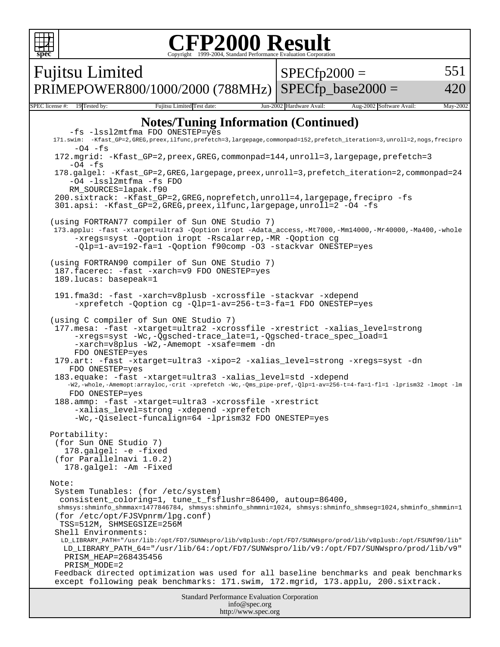| <b>FP2000 Result</b><br>Copyright ©1999-2004, Standard Performance Evaluation Cornoration<br>speo                                                                                                                                                                                                                                                                                                                                                                                                                                                                                                                                                                                                                                                                                                                                                                                                                                                                                                                                                                                                                                                                                                                                                                                                                                                                                                                                                                                                                                                                                                                                                                                                                                                                                                                                                                                                         |                                             |                                      |  |  |  |  |  |
|-----------------------------------------------------------------------------------------------------------------------------------------------------------------------------------------------------------------------------------------------------------------------------------------------------------------------------------------------------------------------------------------------------------------------------------------------------------------------------------------------------------------------------------------------------------------------------------------------------------------------------------------------------------------------------------------------------------------------------------------------------------------------------------------------------------------------------------------------------------------------------------------------------------------------------------------------------------------------------------------------------------------------------------------------------------------------------------------------------------------------------------------------------------------------------------------------------------------------------------------------------------------------------------------------------------------------------------------------------------------------------------------------------------------------------------------------------------------------------------------------------------------------------------------------------------------------------------------------------------------------------------------------------------------------------------------------------------------------------------------------------------------------------------------------------------------------------------------------------------------------------------------------------------|---------------------------------------------|--------------------------------------|--|--|--|--|--|
|                                                                                                                                                                                                                                                                                                                                                                                                                                                                                                                                                                                                                                                                                                                                                                                                                                                                                                                                                                                                                                                                                                                                                                                                                                                                                                                                                                                                                                                                                                                                                                                                                                                                                                                                                                                                                                                                                                           | <b>Fujitsu Limited</b>                      | 551<br>$SPECfp2000 =$                |  |  |  |  |  |
|                                                                                                                                                                                                                                                                                                                                                                                                                                                                                                                                                                                                                                                                                                                                                                                                                                                                                                                                                                                                                                                                                                                                                                                                                                                                                                                                                                                                                                                                                                                                                                                                                                                                                                                                                                                                                                                                                                           | PRIMEPOWER800/1000/2000 (788MHz)            | $SPECfp$ base2000 =<br>420           |  |  |  |  |  |
|                                                                                                                                                                                                                                                                                                                                                                                                                                                                                                                                                                                                                                                                                                                                                                                                                                                                                                                                                                                                                                                                                                                                                                                                                                                                                                                                                                                                                                                                                                                                                                                                                                                                                                                                                                                                                                                                                                           | 19 Tested by:<br>Fujitsu Limited Test date: | May-2002<br>Aug-2002 Software Avail: |  |  |  |  |  |
| SPEC license #:<br>Jun-2002 Hardware Avail:<br><b>Notes/Tuning Information (Continued)</b><br>-fs -lssl2mtfma FDO ONESTEP=yes<br>171.swim: -Kfast_GP=2,GREG,preex,ilfunc,prefetch=3,largepage,commonpad=152,prefetch_iteration=3,unroll=2,nogs,frecipro<br>$-04$ $-fs$<br>172.mgrid: -Kfast_GP=2,preex,GREG,commonpad=144,unroll=3,largepage,prefetch=3<br>$-04$ -fs<br>178.galgel: -Kfast_GP=2,GREG,largepage,preex,unroll=3,prefetch_iteration=2,commonpad=24<br>-04 -lssl2mtfma -fs FDO<br>RM_SOURCES=lapak.f90<br>200.sixtrack: -Kfast_GP=2,GREG,noprefetch,unroll=4,largepage,frecipro -fs<br>301.apsi: -Kfast_GP=2,GREG,preex,ilfunc,largepage,unroll=2 -04 -fs<br>(using FORTRAN77 compiler of Sun ONE Studio 7)<br>173.applu: -fast -xtarget=ultra3 -Qoption iropt -Adata_access,-Mt7000,-Mm14000,-Mr40000,-Ma400,-whole<br>-xregs=syst -Qoption iropt -Rscalarrep,-MR -Qoption cg<br>-Qlp=1-av=192-fa=1 -Qoption f90comp -03 -stackvar ONESTEP=yes<br>(using FORTRAN90 compiler of Sun ONE Studio 7)<br>187. facerec: - fast - xarch=v9 FDO ONESTEP=yes<br>189.lucas: basepeak=1<br>191.fma3d: -fast -xarch=v8plusb -xcrossfile -stackvar -xdepend<br>-xprefetch -Qoption cg -Qlp=1-av=256-t=3-fa=1 FDO ONESTEP=yes<br>(using C compiler of Sun ONE Studio 7)<br>177.mesa: -fast -xtarget=ultra2 -xcrossfile -xrestrict -xalias_level=strong<br>-xregs=syst -Wc,-Qgsched-trace_late=1,-Qgsched-trace_spec_load=1<br>-xarch=v8plus -W2,-Amemopt -xsafe=mem -dn<br>FDO ONESTEP=yes<br>179.art: -fast -xtarget=ultra3 -xipo=2 -xalias_level=strong -xregs=syst -dn<br>FDO ONESTEP=yes<br>183.equake: -fast -xtarget=ultra3 -xalias_level=std -xdepend<br>-W2,-whole,-Amemopt:arrayloc,-crit -xprefetch -Wc,-Qms_pipe-pref,-Qlp=1-av=256-t=4-fa=1-fl=1 -lprism32 -lmopt -lm<br>FDO ONESTEP=yes<br>188.ammp: -fast -xtarget=ultra3 -xcrossfile -xrestrict<br>-xalias_level=strong -xdepend -xprefetch |                                             |                                      |  |  |  |  |  |
| Portability:<br>(for Sun ONE Studio 7)<br>178.galgel: -e -fixed<br>(for Parallelnavi 1.0.2)<br>178.galgel: - Am - Fixed<br>Note:<br>System Tunables: (for /etc/system)<br>consistent_coloring=1, tune_t_fsflushr=86400, autoup=86400,<br>shmsys:shminfo_shmmax=1477846784, shmsys:shminfo_shmmni=1024, shmsys:shminfo_shmseg=1024,shminfo_shmmin=1<br>(for /etc/opt/FJSVpnrm/lpg.conf)<br>TSS=512M, SHMSEGSIZE=256M<br>Shell Environments:<br>LD_LIBRARY_PATH="/usr/lib:/opt/FD7/SUNWspro/lib/v8plusb:/opt/FD7/SUNWspro/prod/lib/v8plusb:/opt/FSUNf90/lib"<br>LD_LIBRARY_PATH_64="/usr/lib/64:/opt/FD7/SUNWspro/lib/v9:/opt/FD7/SUNWspro/prod/lib/v9"<br>PRISM HEAP=268435456<br>PRISM_MODE=2<br>Feedback directed optimization was used for all baseline benchmarks and peak benchmarks<br>except following peak benchmarks: 171.swim, 172.mgrid, 173.applu, 200.sixtrack.<br><b>Standard Performance Evaluation Corporation</b><br>info@spec.org                                                                                                                                                                                                                                                                                                                                                                                                                                                                                                                                                                                                                                                                                                                                                                                                                                                                                                                                                        |                                             |                                      |  |  |  |  |  |
| http://www.spec.org                                                                                                                                                                                                                                                                                                                                                                                                                                                                                                                                                                                                                                                                                                                                                                                                                                                                                                                                                                                                                                                                                                                                                                                                                                                                                                                                                                                                                                                                                                                                                                                                                                                                                                                                                                                                                                                                                       |                                             |                                      |  |  |  |  |  |